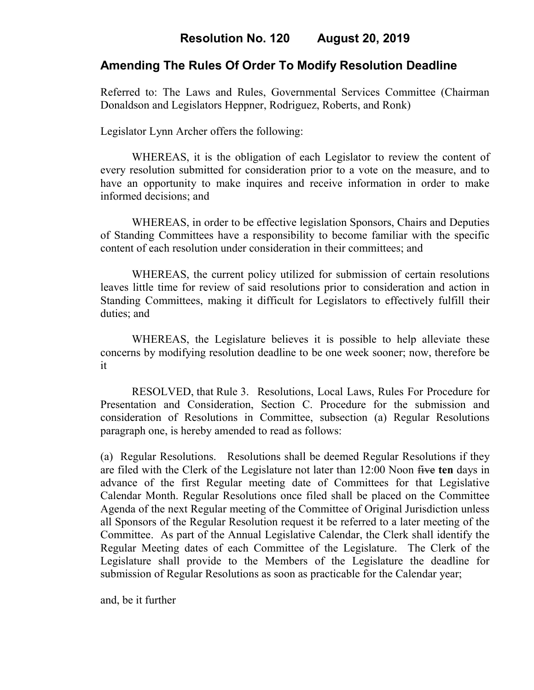# **Resolution No. 120 August 20, 2019**

# **Amending The Rules Of Order To Modify Resolution Deadline**

Referred to: The Laws and Rules, Governmental Services Committee (Chairman Donaldson and Legislators Heppner, Rodriguez, Roberts, and Ronk)

Legislator Lynn Archer offers the following:

WHEREAS, it is the obligation of each Legislator to review the content of every resolution submitted for consideration prior to a vote on the measure, and to have an opportunity to make inquires and receive information in order to make informed decisions; and

WHEREAS, in order to be effective legislation Sponsors, Chairs and Deputies of Standing Committees have a responsibility to become familiar with the specific content of each resolution under consideration in their committees; and

WHEREAS, the current policy utilized for submission of certain resolutions leaves little time for review of said resolutions prior to consideration and action in Standing Committees, making it difficult for Legislators to effectively fulfill their duties; and

WHEREAS, the Legislature believes it is possible to help alleviate these concerns by modifying resolution deadline to be one week sooner; now, therefore be it

RESOLVED, that Rule 3. Resolutions, Local Laws, Rules For Procedure for Presentation and Consideration, Section C. Procedure for the submission and consideration of Resolutions in Committee, subsection (a) Regular Resolutions paragraph one, is hereby amended to read as follows:

(a) Regular Resolutions. Resolutions shall be deemed Regular Resolutions if they are filed with the Clerk of the Legislature not later than 12:00 Noon five **ten** days in advance of the first Regular meeting date of Committees for that Legislative Calendar Month. Regular Resolutions once filed shall be placed on the Committee Agenda of the next Regular meeting of the Committee of Original Jurisdiction unless all Sponsors of the Regular Resolution request it be referred to a later meeting of the Committee. As part of the Annual Legislative Calendar, the Clerk shall identify the Regular Meeting dates of each Committee of the Legislature. The Clerk of the Legislature shall provide to the Members of the Legislature the deadline for submission of Regular Resolutions as soon as practicable for the Calendar year;

and, be it further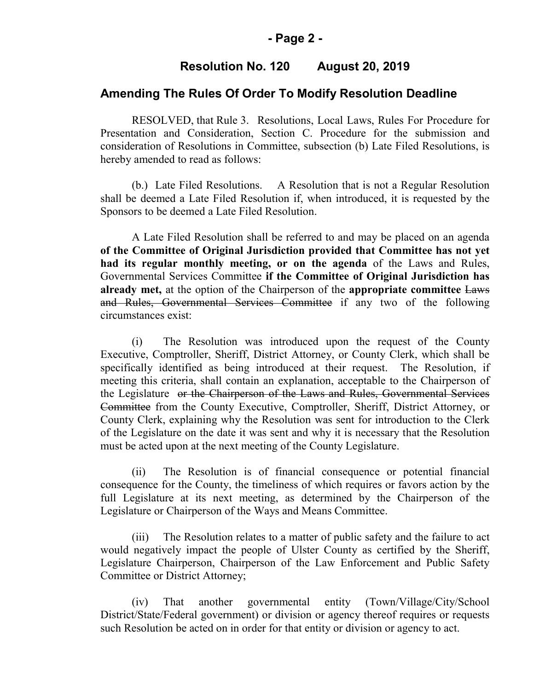### **- Page 2 -**

## **Resolution No. 120 August 20, 2019**

### **Amending The Rules Of Order To Modify Resolution Deadline**

RESOLVED, that Rule 3. Resolutions, Local Laws, Rules For Procedure for Presentation and Consideration, Section C. Procedure for the submission and consideration of Resolutions in Committee, subsection (b) Late Filed Resolutions, is hereby amended to read as follows:

(b.) Late Filed Resolutions. A Resolution that is not a Regular Resolution shall be deemed a Late Filed Resolution if, when introduced, it is requested by the Sponsors to be deemed a Late Filed Resolution.

A Late Filed Resolution shall be referred to and may be placed on an agenda **of the Committee of Original Jurisdiction provided that Committee has not yet had its regular monthly meeting, or on the agenda** of the Laws and Rules, Governmental Services Committee **if the Committee of Original Jurisdiction has already met,** at the option of the Chairperson of the **appropriate committee** Laws and Rules, Governmental Services Committee if any two of the following circumstances exist:

(i) The Resolution was introduced upon the request of the County Executive, Comptroller, Sheriff, District Attorney, or County Clerk, which shall be specifically identified as being introduced at their request. The Resolution, if meeting this criteria, shall contain an explanation, acceptable to the Chairperson of the Legislature or the Chairperson of the Laws and Rules, Governmental Services Committee from the County Executive, Comptroller, Sheriff, District Attorney, or County Clerk, explaining why the Resolution was sent for introduction to the Clerk of the Legislature on the date it was sent and why it is necessary that the Resolution must be acted upon at the next meeting of the County Legislature.

(ii) The Resolution is of financial consequence or potential financial consequence for the County, the timeliness of which requires or favors action by the full Legislature at its next meeting, as determined by the Chairperson of the Legislature or Chairperson of the Ways and Means Committee.

(iii) The Resolution relates to a matter of public safety and the failure to act would negatively impact the people of Ulster County as certified by the Sheriff, Legislature Chairperson, Chairperson of the Law Enforcement and Public Safety Committee or District Attorney;

(iv) That another governmental entity (Town/Village/City/School District/State/Federal government) or division or agency thereof requires or requests such Resolution be acted on in order for that entity or division or agency to act.